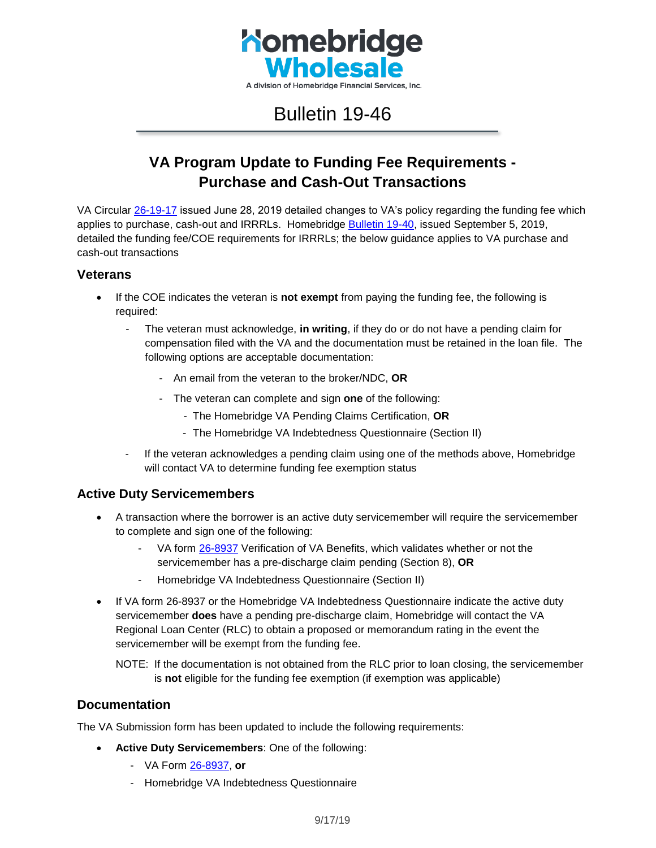

# Bulletin 19-46

## **VA Program Update to Funding Fee Requirements - Purchase and Cash-Out Transactions**

VA Circular [26-19-17](https://www.benefits.va.gov/homeloans/documents/circulars/26_19_17.pdf) issued June 28, 2019 detailed changes to VA's policy regarding the funding fee which applies to purchase, cash-out and IRRRLs. Homebridge **Bulletin 19-40**, issued September 5, 2019, detailed the funding fee/COE requirements for IRRRLs; the below guidance applies to VA purchase and cash-out transactions

#### **Veterans**

- If the COE indicates the veteran is **not exempt** from paying the funding fee, the following is required:
	- The veteran must acknowledge, **in writing**, if they do or do not have a pending claim for compensation filed with the VA and the documentation must be retained in the loan file. The following options are acceptable documentation:
		- An email from the veteran to the broker/NDC, **OR**
		- The veteran can complete and sign **one** of the following:
			- The Homebridge VA Pending Claims Certification, **OR**
			- The Homebridge VA Indebtedness Questionnaire (Section II)
	- If the veteran acknowledges a pending claim using one of the methods above, Homebridge will contact VA to determine funding fee exemption status

### **Active Duty Servicemembers**

- A transaction where the borrower is an active duty servicemember will require the servicemember to complete and sign one of the following:
	- VA form [26-8937](https://www.vba.va.gov/pubs/forms/VBA-26-8937-ARE.pdf) Verification of VA Benefits, which validates whether or not the servicemember has a pre-discharge claim pending (Section 8), **OR**
	- Homebridge VA Indebtedness Questionnaire (Section II)
- If VA form 26-8937 or the Homebridge VA Indebtedness Questionnaire indicate the active duty servicemember **does** have a pending pre-discharge claim, Homebridge will contact the VA Regional Loan Center (RLC) to obtain a proposed or memorandum rating in the event the servicemember will be exempt from the funding fee.

NOTE: If the documentation is not obtained from the RLC prior to loan closing, the servicemember is **not** eligible for the funding fee exemption (if exemption was applicable)

#### **Documentation**

The VA Submission form has been updated to include the following requirements:

- **Active Duty Servicemembers**: One of the following:
	- VA Form [26-8937,](https://www.vba.va.gov/pubs/forms/VBA-26-8937-ARE.pdf) **or**
	- Homebridge VA Indebtedness Questionnaire